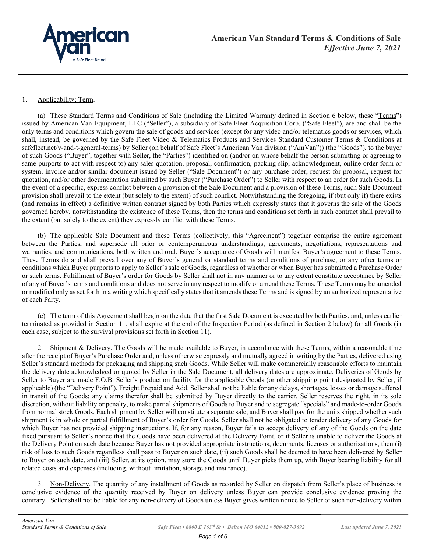

## 1. Applicability; Term.

(a) These Standard Terms and Conditions of Sale (including the Limited Warranty defined in Section 6 below, these "Terms") issued by American Van Equipment, LLC ("Seller"), a subsidiary of Safe Fleet Acquisition Corp. ("Safe Fleet"), are and shall be the only terms and conditions which govern the sale of goods and services (except for any video and/or telematics goods or services, which shall, instead, be governed by the Safe Fleet Video & Telematics Products and Services Standard Customer Terms & Conditions at safefleet.net/v-and-t-general-terms) by Seller (on behalf of Safe Fleet's American Van division ("AmVan")) (the "Goods"), to the buyer of such Goods ("Buyer"; together with Seller, the "Parties") identified on (and/or on whose behalf the person submitting or agreeing to same purports to act with respect to) any sales quotation, proposal, confirmation, packing slip, acknowledgment, online order form or system, invoice and/or similar document issued by Seller ("Sale Document") or any purchase order, request for proposal, request for quotation, and/or other documentation submitted by such Buyer ("Purchase Order") to Seller with respect to an order for such Goods. In the event of a specific, express conflict between a provision of the Sale Document and a provision of these Terms, such Sale Document provision shall prevail to the extent (but solely to the extent) of such conflict. Notwithstanding the foregoing, if (but only if) there exists (and remains in effect) a definitive written contract signed by both Parties which expressly states that it governs the sale of the Goods governed hereby, notwithstanding the existence of these Terms, then the terms and conditions set forth in such contract shall prevail to the extent (but solely to the extent) they expressly conflict with these Terms.

(b) The applicable Sale Document and these Terms (collectively, this "Agreement") together comprise the entire agreement between the Parties, and supersede all prior or contemporaneous understandings, agreements, negotiations, representations and warranties, and communications, both written and oral. Buyer's acceptance of Goods will manifest Buyer's agreement to these Terms. These Terms do and shall prevail over any of Buyer's general or standard terms and conditions of purchase, or any other terms or conditions which Buyer purports to apply to Seller's sale of Goods, regardless of whether or when Buyer has submitted a Purchase Order or such terms. Fulfillment of Buyer's order for Goods by Seller shall not in any manner or to any extent constitute acceptance by Seller of any of Buyer's terms and conditions and does not serve in any respect to modify or amend these Terms. These Terms may be amended or modified only as set forth in a writing which specifically states that it amends these Terms and is signed by an authorized representative of each Party.

(c) The term of this Agreement shall begin on the date that the first Sale Document is executed by both Parties, and, unless earlier terminated as provided in Section 11, shall expire at the end of the Inspection Period (as defined in Section 2 below) for all Goods (in each case, subject to the survival provisions set forth in Section 11).

2. Shipment & Delivery. The Goods will be made available to Buyer, in accordance with these Terms, within a reasonable time after the receipt of Buyer's Purchase Order and, unless otherwise expressly and mutually agreed in writing by the Parties, delivered using Seller's standard methods for packaging and shipping such Goods. While Seller will make commercially reasonable efforts to maintain the delivery date acknowledged or quoted by Seller in the Sale Document, all delivery dates are approximate. Deliveries of Goods by Seller to Buyer are made F.O.B. Seller's production facility for the applicable Goods (or other shipping point designated by Seller, if applicable) (the "Delivery Point"), Freight Prepaid and Add. Seller shall not be liable for any delays, shortages, losses or damage suffered in transit of the Goods; any claims therefor shall be submitted by Buyer directly to the carrier. Seller reserves the right, in its sole discretion, without liability or penalty, to make partial shipments of Goods to Buyer and to segregate "specials" and made-to-order Goods from normal stock Goods. Each shipment by Seller will constitute a separate sale, and Buyer shall pay for the units shipped whether such shipment is in whole or partial fulfillment of Buyer's order for Goods. Seller shall not be obligated to tender delivery of any Goods for which Buyer has not provided shipping instructions. If, for any reason, Buyer fails to accept delivery of any of the Goods on the date fixed pursuant to Seller's notice that the Goods have been delivered at the Delivery Point, or if Seller is unable to deliver the Goods at the Delivery Point on such date because Buyer has not provided appropriate instructions, documents, licenses or authorizations, then (i) risk of loss to such Goods regardless shall pass to Buyer on such date, (ii) such Goods shall be deemed to have been delivered by Seller to Buyer on such date, and (iii) Seller, at its option, may store the Goods until Buyer picks them up, with Buyer bearing liability for all related costs and expenses (including, without limitation, storage and insurance).

3. Non-Delivery. The quantity of any installment of Goods as recorded by Seller on dispatch from Seller's place of business is conclusive evidence of the quantity received by Buyer on delivery unless Buyer can provide conclusive evidence proving the contrary. Seller shall not be liable for any non-delivery of Goods unless Buyer gives written notice to Seller of such non-delivery within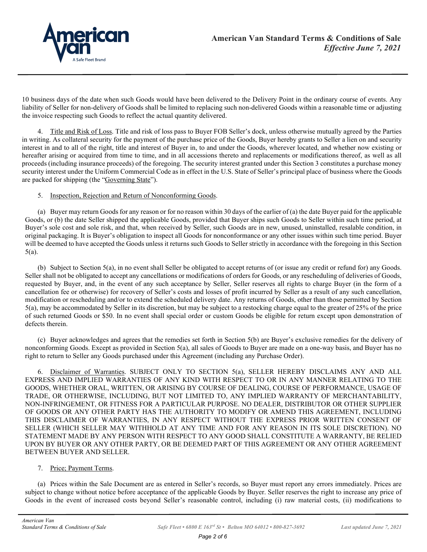

10 business days of the date when such Goods would have been delivered to the Delivery Point in the ordinary course of events. Any liability of Seller for non-delivery of Goods shall be limited to replacing such non-delivered Goods within a reasonable time or adjusting the invoice respecting such Goods to reflect the actual quantity delivered.

4. Title and Risk of Loss. Title and risk of loss pass to Buyer FOB Seller's dock, unless otherwise mutually agreed by the Parties in writing. As collateral security for the payment of the purchase price of the Goods, Buyer hereby grants to Seller a lien on and security interest in and to all of the right, title and interest of Buyer in, to and under the Goods, wherever located, and whether now existing or hereafter arising or acquired from time to time, and in all accessions thereto and replacements or modifications thereof, as well as all proceeds (including insurance proceeds) of the foregoing. The security interest granted under this Section 3 constitutes a purchase money security interest under the Uniform Commercial Code as in effect in the U.S. State of Seller's principal place of business where the Goods are packed for shipping (the "Governing State").

## 5. Inspection, Rejection and Return of Nonconforming Goods.

(a) Buyer may return Goods for any reason or for no reason within 30 days of the earlier of (a) the date Buyer paid for the applicable Goods, or (b) the date Seller shipped the applicable Goods, provided that Buyer ships such Goods to Seller within such time period, at Buyer's sole cost and sole risk, and that, when received by Seller, such Goods are in new, unused, uninstalled, resalable condition, in original packaging. It is Buyer's obligation to inspect all Goods for nonconformance or any other issues within such time period. Buyer will be deemed to have accepted the Goods unless it returns such Goods to Seller strictly in accordance with the foregoing in this Section 5(a).

(b) Subject to Section 5(a), in no event shall Seller be obligated to accept returns of (or issue any credit or refund for) any Goods. Seller shall not be obligated to accept any cancellations or modifications of orders for Goods, or any rescheduling of deliveries of Goods, requested by Buyer, and, in the event of any such acceptance by Seller, Seller reserves all rights to charge Buyer (in the form of a cancellation fee or otherwise) for recovery of Seller's costs and losses of profit incurred by Seller as a result of any such cancellation, modification or rescheduling and/or to extend the scheduled delivery date. Any returns of Goods, other than those permitted by Section 5(a), may be accommodated by Seller in its discretion, but may be subject to a restocking charge equal to the greater of 25% of the price of such returned Goods or \$50. In no event shall special order or custom Goods be eligible for return except upon demonstration of defects therein.

(c) Buyer acknowledges and agrees that the remedies set forth in Section 5(b) are Buyer's exclusive remedies for the delivery of nonconforming Goods. Except as provided in Section 5(a), all sales of Goods to Buyer are made on a one-way basis, and Buyer has no right to return to Seller any Goods purchased under this Agreement (including any Purchase Order).

6. Disclaimer of Warranties. SUBJECT ONLY TO SECTION 5(a), SELLER HEREBY DISCLAIMS ANY AND ALL EXPRESS AND IMPLIED WARRANTIES OF ANY KIND WITH RESPECT TO OR IN ANY MANNER RELATING TO THE GOODS, WHETHER ORAL, WRITTEN, OR ARISING BY COURSE OF DEALING, COURSE OF PERFORMANCE, USAGE OF TRADE, OR OTHERWISE, INCLUDING, BUT NOT LIMITED TO, ANY IMPLIED WARRANTY OF MERCHANTABILITY, NON-INFRINGEMENT, OR FITNESS FOR A PARTICULAR PURPOSE. NO DEALER, DISTRIBUTOR OR OTHER SUPPLIER OF GOODS OR ANY OTHER PARTY HAS THE AUTHORITY TO MODIFY OR AMEND THIS AGREEMENT, INCLUDING THIS DISCLAIMER OF WARRANTIES, IN ANY RESPECT WITHOUT THE EXPRESS PRIOR WRITTEN CONSENT OF SELLER (WHICH SELLER MAY WITHHOLD AT ANY TIME AND FOR ANY REASON IN ITS SOLE DISCRETION). NO STATEMENT MADE BY ANY PERSON WITH RESPECT TO ANY GOOD SHALL CONSTITUTE A WARRANTY, BE RELIED UPON BY BUYER OR ANY OTHER PARTY, OR BE DEEMED PART OF THIS AGREEMENT OR ANY OTHER AGREEMENT BETWEEN BUYER AND SELLER.

## 7. Price; Payment Terms.

(a) Prices within the Sale Document are as entered in Seller's records, so Buyer must report any errors immediately. Prices are subject to change without notice before acceptance of the applicable Goods by Buyer. Seller reserves the right to increase any price of Goods in the event of increased costs beyond Seller's reasonable control, including (i) raw material costs, (ii) modifications to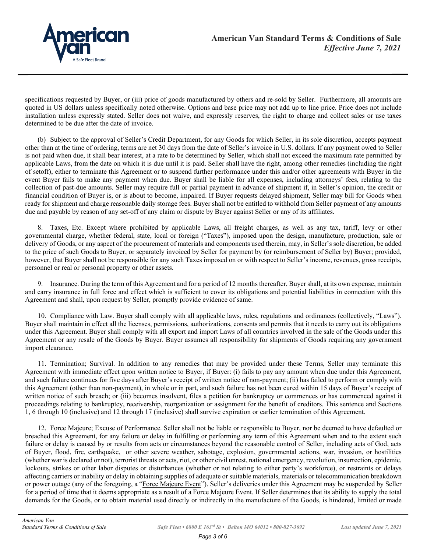

specifications requested by Buyer, or (iii) price of goods manufactured by others and re-sold by Seller. Furthermore, all amounts are quoted in US dollars unless specifically noted otherwise. Options and base price may not add up to line price. Price does not include installation unless expressly stated. Seller does not waive, and expressly reserves, the right to charge and collect sales or use taxes determined to be due after the date of invoice.

(b) Subject to the approval of Seller's Credit Department, for any Goods for which Seller, in its sole discretion, accepts payment other than at the time of ordering, terms are net 30 days from the date of Seller's invoice in U.S. dollars. If any payment owed to Seller is not paid when due, it shall bear interest, at a rate to be determined by Seller, which shall not exceed the maximum rate permitted by applicable Laws, from the date on which it is due until it is paid. Seller shall have the right, among other remedies (including the right of setoff), either to terminate this Agreement or to suspend further performance under this and/or other agreements with Buyer in the event Buyer fails to make any payment when due. Buyer shall be liable for all expenses, including attorneys' fees, relating to the collection of past-due amounts. Seller may require full or partial payment in advance of shipment if, in Seller's opinion, the credit or financial condition of Buyer is, or is about to become, impaired. If Buyer requests delayed shipment, Seller may bill for Goods when ready for shipment and charge reasonable daily storage fees. Buyer shall not be entitled to withhold from Seller payment of any amounts due and payable by reason of any set-off of any claim or dispute by Buyer against Seller or any of its affiliates.

8. Taxes, Etc. Except where prohibited by applicable Laws, all freight charges, as well as any tax, tariff, levy or other governmental charge, whether federal, state, local or foreign ("Taxes"), imposed upon the design, manufacture, production, sale or delivery of Goods, or any aspect of the procurement of materials and components used therein, may, in Seller's sole discretion, be added to the price of such Goods to Buyer, or separately invoiced by Seller for payment by (or reimbursement of Seller by) Buyer; provided, however, that Buyer shall not be responsible for any such Taxes imposed on or with respect to Seller's income, revenues, gross receipts, personnel or real or personal property or other assets.

9. Insurance. During the term of this Agreement and for a period of 12 months thereafter, Buyer shall, at its own expense, maintain and carry insurance in full force and effect which is sufficient to cover its obligations and potential liabilities in connection with this Agreement and shall, upon request by Seller, promptly provide evidence of same.

10. Compliance with Law. Buyer shall comply with all applicable laws, rules, regulations and ordinances (collectively, "Laws"). Buyer shall maintain in effect all the licenses, permissions, authorizations, consents and permits that it needs to carry out its obligations under this Agreement. Buyer shall comply with all export and import Laws of all countries involved in the sale of the Goods under this Agreement or any resale of the Goods by Buyer. Buyer assumes all responsibility for shipments of Goods requiring any government import clearance.

11. Termination; Survival. In addition to any remedies that may be provided under these Terms, Seller may terminate this Agreement with immediate effect upon written notice to Buyer, if Buyer: (i) fails to pay any amount when due under this Agreement, and such failure continues for five days after Buyer's receipt of written notice of non-payment; (ii) has failed to perform or comply with this Agreement (other than non-payment), in whole or in part, and such failure has not been cured within 15 days of Buyer's receipt of written notice of such breach; or (iii) becomes insolvent, files a petition for bankruptcy or commences or has commenced against it proceedings relating to bankruptcy, receivership, reorganization or assignment for the benefit of creditors. This sentence and Sections 1, 6 through 10 (inclusive) and 12 through 17 (inclusive) shall survive expiration or earlier termination of this Agreement.

12. Force Majeure; Excuse of Performance. Seller shall not be liable or responsible to Buyer, nor be deemed to have defaulted or breached this Agreement, for any failure or delay in fulfilling or performing any term of this Agreement when and to the extent such failure or delay is caused by or results from acts or circumstances beyond the reasonable control of Seller, including acts of God, acts of Buyer, flood, fire, earthquake, or other severe weather, sabotage, explosion, governmental actions, war, invasion, or hostilities (whether war is declared or not), terrorist threats or acts, riot, or other civil unrest, national emergency, revolution, insurrection, epidemic, lockouts, strikes or other labor disputes or disturbances (whether or not relating to either party's workforce), or restraints or delays affecting carriers or inability or delay in obtaining supplies of adequate or suitable materials, materials or telecommunication breakdown or power outage (any of the foregoing, a "Force Majeure Event"). Seller's deliveries under this Agreement may be suspended by Seller for a period of time that it deems appropriate as a result of a Force Majeure Event. If Seller determines that its ability to supply the total demands for the Goods, or to obtain material used directly or indirectly in the manufacture of the Goods, is hindered, limited or made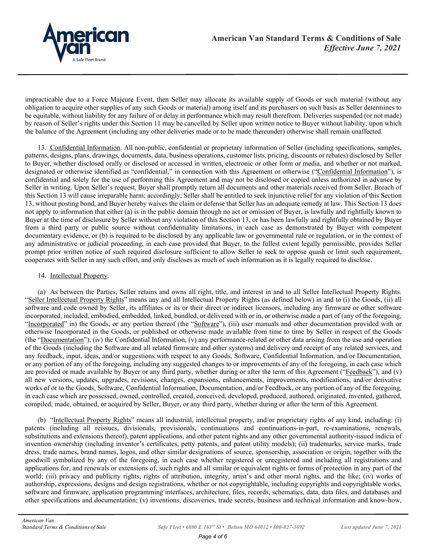

impracticable due to a Force Majeure Event, then Seller may allocate its available supply of Goods or such material (without any obligation to acquire other supplies of any such Goods or material) among itself and its purchasers on such basis as Seller determines to be equitable, without liability for any failure of or delay in performance which may result therefrom. Deliveries suspended (or not made) by reason of Seller's rights under this Section 11 may be cancelled by Seller upon written notice to Buyer without liability, upon which the balance of the Agreement (including any other deliveries made or to be made thereunder) otherwise shall remain unaffected.

13. Confidential Information. All non-public, confidential or proprietary information of Seller (including specifications, samples, patterns, designs, plans, drawings, documents, data, business operations, customer lists, pricing, discounts or rebates) disclosed by Seller to Buyer, whether disclosed orally or disclosed or accessed in written, electronic or other form or media, and whether or not marked, designated or otherwise identified as "confidential," in connection with this Agreement or otherwise ("Confidential Information"), is confidential and solely for the use of performing this Agreement and may not be disclosed or copied unless authorized in advance by Seller in writing. Upon Seller's request, Buyer shall promptly return all documents and other materials received from Seller. Breach of this Section 13 will cause irreparable harm; accordingly, Seller shall be entitled to seek injunctive relief for any violation of this Section 13, without posting bond, and Buyer hereby waives the claim or defense that Seller has an adequate remedy at law. This Section 13 does not apply to information that either (a) is in the public domain through no act or omission of Buyer, is lawfully and rightfully known to Buyer at the time of disclosure by Seller without any violation of this Section 13, or has been lawfully and rightfully obtained by Buyer from a third party or public source without confidentiality limitations, in each case as demonstrated by Buyer with competent documentary evidence, or (b) is required to be disclosed by any applicable law or governmental rule or regulation, or in the context of any administrative or judicial proceeding, in each case provided that Buyer, to the fullest extent legally permissible, provides Seller prompt prior written notice of such required disclosure sufficient to allow Seller to seek to oppose quash or limit such requirement, cooperates with Seller in any such effort, and only discloses as much of such information as it is legally required to disclose.

## 14. Intellectual Property.

(a) As between the Parties, Seller retains and owns all right, title, and interest in and to all Seller Intellectual Property Rights. "Seller Intellectual Property Rights" means any and all Intellectual Property Rights (as defined below) in and to (i) the Goods, (ii) all software and code owned by Seller, its affiliates or its or their direct or indirect licensors, including any firmware or other software incorporated, included, embodied, embedded, linked, bundled, or delivered with or in, or otherwise made a part of (any of the foregoing, "Incorporated" in) the Goods, or any portion thereof (the "Software"), (iii) user manuals and other documentation provided with or otherwise Incorporated in the Goods, or published or otherwise made available from time to time by Seller in respect of the Goods (the "Documentation"), (iv) the Confidential Information, (v) any performance-related or other data arising from the use and operation of the Goods (including the Software and all related firmware and other systems) and delivery and receipt of any related services, and any feedback, input, ideas, and/or suggestions with respect to any Goods, Software, Confidential Information, and/or Documentation, or any portion of any of the foregoing, including any suggested changes to or improvements of any of the foregoing, in each case which are provided or made available by Buyer or any third party, whether during or after the term of this Agreement ("Feedback"), and  $(v)$ all new versions, updates, upgrades, revisions, changes, expansions, enhancements, improvements, modifications, and/or derivative works of or to the Goods, Software, Confidential Information, Documentation, and/or Feedback, or any portion of any of the foregoing, in each case which are possessed, owned, controlled, created, conceived, developed, produced, authored, originated, invented, gathered, compiled, made, obtained, or acquired by Seller, Buyer, or any third party, whether during or after the term of this Agreement.

(b) "Intellectual Property Rights" means all industrial, intellectual property, and/or proprietary rights of any kind, including: (i) patents (including all reissues, divisionals, provisionals, continuations and continuations-in-part, re-examinations, renewals, substitutions and extensions thereof), patent applications, and other patent rights and any other governmental authority-issued indicia of invention ownership (including inventor's certificates, petty patents, and patent utility models); (ii) trademarks, service marks, trade dress, trade names, brand names, logos, and other similar designations of source, sponsorship, association or origin, together with the goodwill symbolized by any of the foregoing, in each case whether registered or unregistered and including all registrations and applications for, and renewals or extensions of, such rights and all similar or equivalent rights or forms of protection in any part of the world; (iii) privacy and publicity rights, rights of attribution, integrity, artist's and other moral rights, and the like; (iv) works of authorship, expressions, designs and design registrations, whether or not copyrightable, including copyrights and copyrightable works, software and firmware, application programming interfaces, architecture, files, records, schematics, data, data files, and databases and other specifications and documentation; (v) inventions, discoveries, trade secrets, business and technical information and know-how,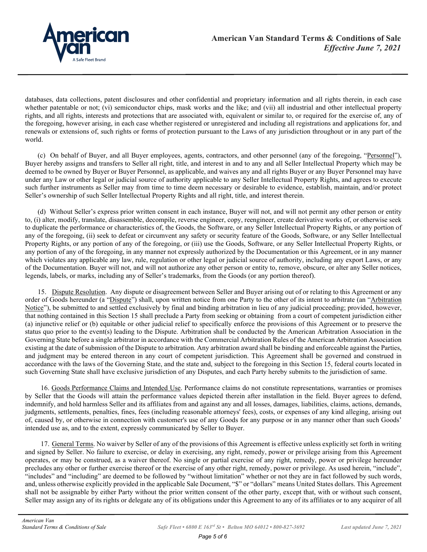

databases, data collections, patent disclosures and other confidential and proprietary information and all rights therein, in each case whether patentable or not; (vi) semiconductor chips, mask works and the like; and (vii) all industrial and other intellectual property rights, and all rights, interests and protections that are associated with, equivalent or similar to, or required for the exercise of, any of the foregoing, however arising, in each case whether registered or unregistered and including all registrations and applications for, and renewals or extensions of, such rights or forms of protection pursuant to the Laws of any jurisdiction throughout or in any part of the world.

(c) On behalf of Buyer, and all Buyer employees, agents, contractors, and other personnel (any of the foregoing, "Personnel"), Buyer hereby assigns and transfers to Seller all right, title, and interest in and to any and all Seller Intellectual Property which may be deemed to be owned by Buyer or Buyer Personnel, as applicable, and waives any and all rights Buyer or any Buyer Personnel may have under any Law or other legal or judicial source of authority applicable to any Seller Intellectual Property Rights, and agrees to execute such further instruments as Seller may from time to time deem necessary or desirable to evidence, establish, maintain, and/or protect Seller's ownership of such Seller Intellectual Property Rights and all right, title, and interest therein.

(d) Without Seller's express prior written consent in each instance, Buyer will not, and will not permit any other person or entity to, (i) alter, modify, translate, disassemble, decompile, reverse engineer, copy, reengineer, create derivative works of, or otherwise seek to duplicate the performance or characteristics of, the Goods, the Software, or any Seller Intellectual Property Rights, or any portion of any of the foregoing, (ii) seek to defeat or circumvent any safety or security feature of the Goods, Software, or any Seller Intellectual Property Rights, or any portion of any of the foregoing, or (iii) use the Goods, Software, or any Seller Intellectual Property Rights, or any portion of any of the foregoing, in any manner not expressly authorized by the Documentation or this Agreement, or in any manner which violates any applicable any law, rule, regulation or other legal or judicial source of authority, including any export Laws, or any of the Documentation. Buyer will not, and will not authorize any other person or entity to, remove, obscure, or alter any Seller notices, legends, labels, or marks, including any of Seller's trademarks, from the Goods (or any portion thereof).

15. Dispute Resolution. Any dispute or disagreement between Seller and Buyer arising out of or relating to this Agreement or any order of Goods hereunder (a "Dispute") shall, upon written notice from one Party to the other of its intent to arbitrate (an "Arbitration Notice"), be submitted to and settled exclusively by final and binding arbitration in lieu of any judicial proceeding; provided, however, that nothing contained in this Section 15 shall preclude a Party from seeking or obtaining from a court of competent jurisdiction either (a) injunctive relief or (b) equitable or other judicial relief to specifically enforce the provisions of this Agreement or to preserve the status quo prior to the event(s) leading to the Dispute. Arbitration shall be conducted by the American Arbitration Association in the Governing State before a single arbitrator in accordance with the Commercial Arbitration Rules of the American Arbitration Association existing at the date of submission of the Dispute to arbitration. Any arbitration award shall be binding and enforceable against the Parties, and judgment may be entered thereon in any court of competent jurisdiction. This Agreement shall be governed and construed in accordance with the laws of the Governing State, and the state and, subject to the foregoing in this Section 15, federal courts located in such Governing State shall have exclusive jurisdiction of any Disputes, and each Party hereby submits to the jurisdiction of same.

16. Goods Performance Claims and Intended Use. Performance claims do not constitute representations, warranties or promises by Seller that the Goods will attain the performance values depicted therein after installation in the field. Buyer agrees to defend, indemnify, and hold harmless Seller and its affiliates from and against any and all losses, damages, liabilities, claims, actions, demands, judgments, settlements, penalties, fines, fees (including reasonable attorneys' fees), costs, or expenses of any kind alleging, arising out of, caused by, or otherwise in connection with customer's use of any Goods for any purpose or in any manner other than such Goods' intended use as, and to the extent, expressly communicated by Seller to Buyer.

17. General Terms. No waiver by Seller of any of the provisions of this Agreement is effective unless explicitly set forth in writing and signed by Seller. No failure to exercise, or delay in exercising, any right, remedy, power or privilege arising from this Agreement operates, or may be construed, as a waiver thereof. No single or partial exercise of any right, remedy, power or privilege hereunder precludes any other or further exercise thereof or the exercise of any other right, remedy, power or privilege. As used herein, "include", "includes" and "including" are deemed to be followed by "without limitation" whether or not they are in fact followed by such words, and, unless otherwise explicitly provided in the applicable Sale Document, "\$" or "dollars" means United States dollars. This Agreement shall not be assignable by either Party without the prior written consent of the other party, except that, with or without such consent, Seller may assign any of its rights or delegate any of its obligations under this Agreement to any of its affiliates or to any acquirer of all